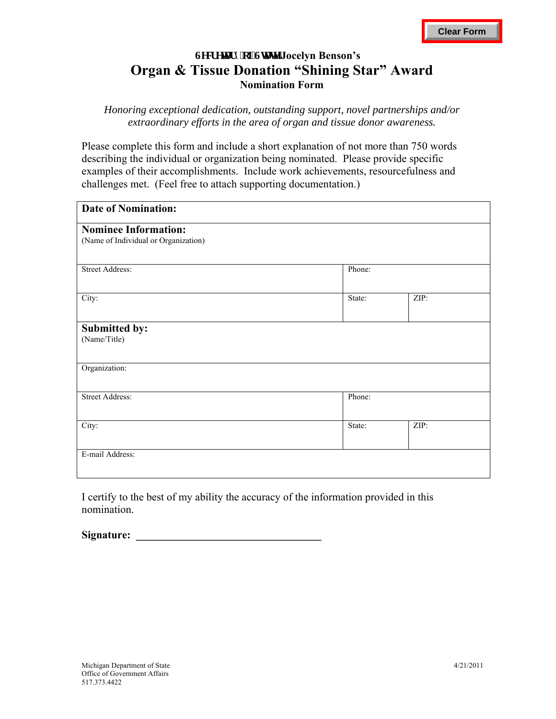## Lget gwt { 'qh'Uwwg'Jocelyn Benson's **Organ & Tissue Donation "Shining Star" Award Nomination Form**

*Honoring exceptional dedication, outstanding support, novel partnerships and/or extraordinary efforts in the area of organ and tissue donor awareness.* 

Please complete this form and include a short explanation of not more than 750 words describing the individual or organization being nominated. Please provide specific examples of their accomplishments. Include work achievements, resourcefulness and challenges met. (Feel free to attach supporting documentation.)

| <b>Date of Nomination:</b>                                          |        |      |
|---------------------------------------------------------------------|--------|------|
| <b>Nominee Information:</b><br>(Name of Individual or Organization) |        |      |
| <b>Street Address:</b>                                              | Phone: |      |
| City:                                                               | State: | ZIP: |
| Submitted by:<br>(Name/Title)                                       |        |      |
| Organization:                                                       |        |      |
| <b>Street Address:</b>                                              | Phone: |      |
| City:                                                               | State: | ZIP: |
| E-mail Address:                                                     |        |      |

I certify to the best of my ability the accuracy of the information provided in this nomination.

Signature: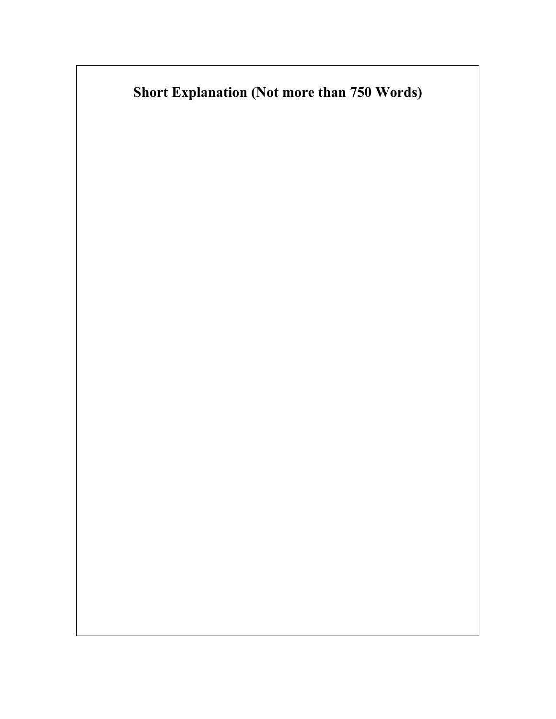